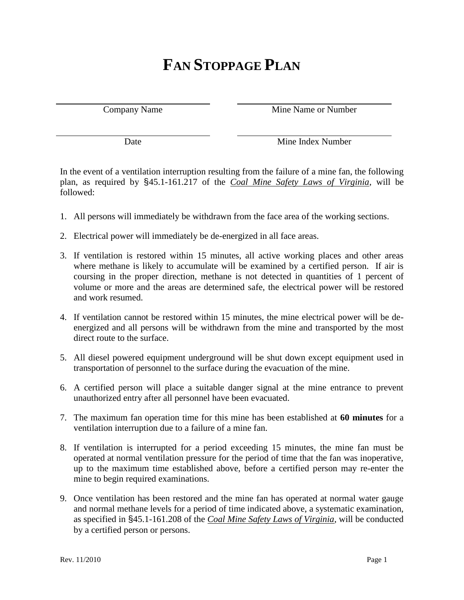## **FAN STOPPAGE PLAN**

Company Name Mine Name or Number

Date Mine Index Number

In the event of a ventilation interruption resulting from the failure of a mine fan, the following plan, as required by §45.1-161.217 of the *Coal Mine Safety Laws of Virginia*, will be followed:

- 1. All persons will immediately be withdrawn from the face area of the working sections.
- 2. Electrical power will immediately be de-energized in all face areas.
- 3. If ventilation is restored within 15 minutes, all active working places and other areas where methane is likely to accumulate will be examined by a certified person. If air is coursing in the proper direction, methane is not detected in quantities of 1 percent of volume or more and the areas are determined safe, the electrical power will be restored and work resumed.
- 4. If ventilation cannot be restored within 15 minutes, the mine electrical power will be deenergized and all persons will be withdrawn from the mine and transported by the most direct route to the surface.
- 5. All diesel powered equipment underground will be shut down except equipment used in transportation of personnel to the surface during the evacuation of the mine.
- 6. A certified person will place a suitable danger signal at the mine entrance to prevent unauthorized entry after all personnel have been evacuated.
- 7. The maximum fan operation time for this mine has been established at **60 minutes** for a ventilation interruption due to a failure of a mine fan.
- 8. If ventilation is interrupted for a period exceeding 15 minutes, the mine fan must be operated at normal ventilation pressure for the period of time that the fan was inoperative, up to the maximum time established above, before a certified person may re-enter the mine to begin required examinations.
- 9. Once ventilation has been restored and the mine fan has operated at normal water gauge and normal methane levels for a period of time indicated above, a systematic examination, as specified in §45.1-161.208 of the *Coal Mine Safety Laws of Virginia*, will be conducted by a certified person or persons.